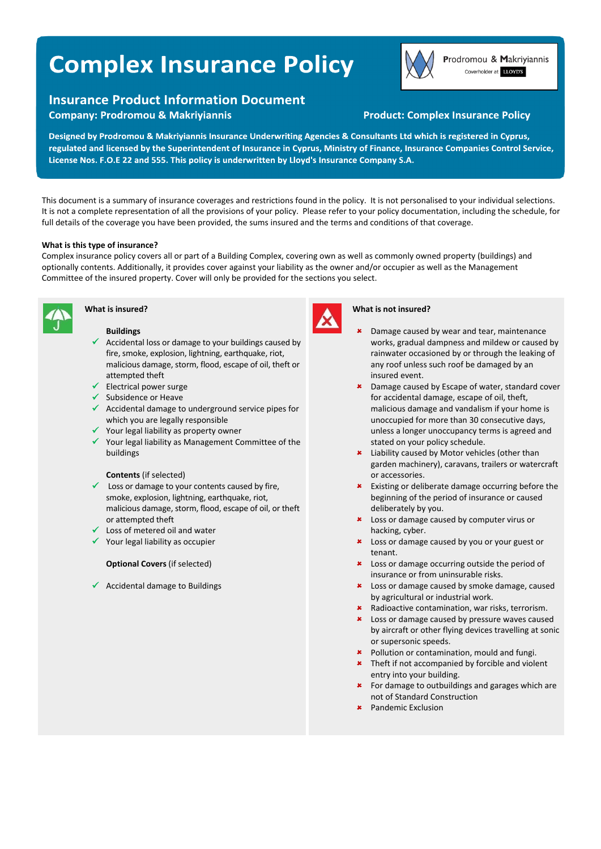# **Complex Insurance Policy**

# **Insurance Product Information Document**

**Company: Prodromou & Makriyiannis** 



Prodromou & Makriyiannis Coverholder at LLOYD'S

# **Product: Complex Insurance Policy**

Designed by Prodromou & Makriyiannis Insurance Underwriting Agencies & Consultants Ltd which is registered in Cyprus, regulated and licensed by the Superintendent of Insurance in Cyprus, Ministry of Finance, Insurance Companies Control Service, License Nos. F.O.E 22 and 555. This policy is underwritten by Lloyd's Insurance Company S.A.

This document is a summary of insurance coverages and restrictions found in the policy. It is not personalised to your individual selections. It is not a complete representation of all the provisions of your policy. Please refer to your policy documentation, including the schedule, for full details of the coverage you have been provided, the sums insured and the terms and conditions of that coverage.

## **What is this type of insurance?**

Complex insurance policy covers all or part of a Building Complex, covering own as well as commonly owned property (buildings) and optionally contents. Additionally, it provides cover against your liability as the owner and/or occupier as well as the Management Committee of the insured property. Cover will only be provided for the sections you select.



# **What is insured?**

# **Buildings**

- $\checkmark$  Accidental loss or damage to your buildings caused by fire, smoke, explosion, lightning, earthquake, riot, malicious damage, storm, flood, escape of oil, theft or attempted theft
- $\checkmark$  Electrical power surge
- $\checkmark$  Subsidence or Heave
- $\checkmark$  Accidental damage to underground service pipes for which you are legally responsible
- $\checkmark$  Your legal liability as property owner
- $\checkmark$  Your legal liability as Management Committee of the buildings

#### **Contents** (if selected)

- $\checkmark$  Loss or damage to your contents caused by fire, smoke, explosion, lightning, earthquake, riot, malicious damage, storm, flood, escape of oil, or theft or attempted theft
- $\checkmark$  Loss of metered oil and water
- $\checkmark$  Your legal liability as occupier

# **Optional Covers** (if selected)

 $\checkmark$  Accidental damage to Buildings



#### **What is not insured?**

- Damage caused by wear and tear, maintenance works, gradual dampness and mildew or caused by rainwater occasioned by or through the leaking of any roof unless such roof be damaged by an insured event.
- **\*** Damage caused by Escape of water, standard cover for accidental damage, escape of oil, theft, malicious damage and vandalism if your home is unoccupied for more than 30 consecutive days, unless a longer unoccupancy terms is agreed and stated on your policy schedule.
- **\*** Liability caused by Motor vehicles (other than garden machinery), caravans, trailers or watercraft or accessories.
- Existing or deliberate damage occurring before the beginning of the period of insurance or caused deliberately by you.
- **\*** Loss or damage caused by computer virus or hacking, cyber.
- **\*** Loss or damage caused by you or your guest or tenant.
- **\*** Loss or damage occurring outside the period of insurance or from uninsurable risks.
- **\*** Loss or damage caused by smoke damage, caused by agricultural or industrial work.
- Radioactive contamination, war risks, terrorism.
- **\*** Loss or damage caused by pressure waves caused by aircraft or other flying devices travelling at sonic or supersonic speeds.
- **\*** Pollution or contamination, mould and fungi.
- **\*** Theft if not accompanied by forcible and violent entry into your building.
- For damage to outbuildings and garages which are not of Standard Construction
- Pandemic Exclusion